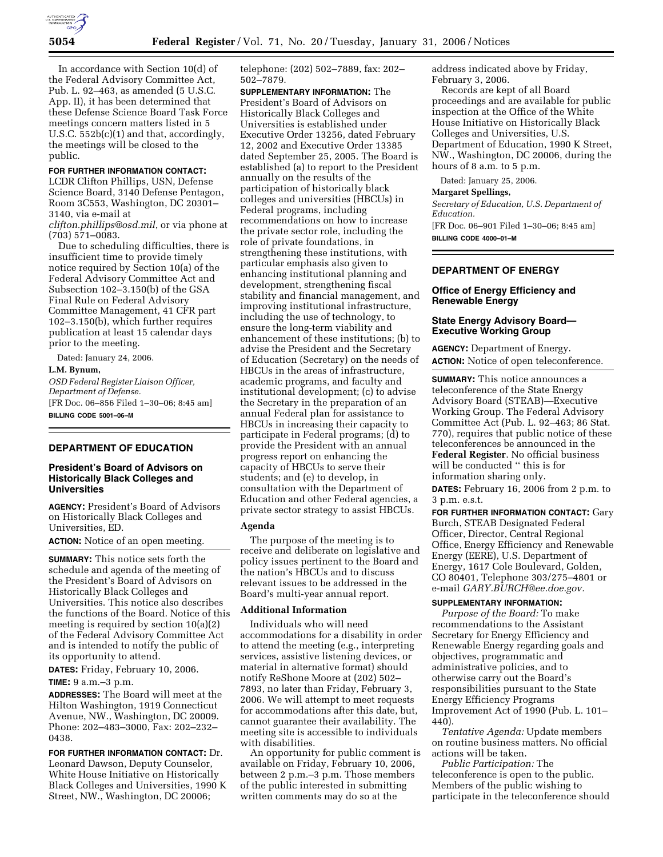

In accordance with Section 10(d) of the Federal Advisory Committee Act, Pub. L. 92–463, as amended (5 U.S.C. App. II), it has been determined that these Defense Science Board Task Force meetings concern matters listed in 5 U.S.C. 552b(c)(1) and that, accordingly, the meetings will be closed to the public.

#### **FOR FURTHER INFORMATION CONTACT:**

LCDR Clifton Phillips, USN, Defense Science Board, 3140 Defense Pentagon, Room 3C553, Washington, DC 20301– 3140, via e-mail at

*clifton.phillips@osd.mil*, or via phone at (703) 571–0083.

Due to scheduling difficulties, there is insufficient time to provide timely notice required by Section 10(a) of the Federal Advisory Committee Act and Subsection 102–3.150(b) of the GSA Final Rule on Federal Advisory Committee Management, 41 CFR part 102–3.150(b), which further requires publication at least 15 calendar days prior to the meeting.

Dated: January 24, 2006.

# **L.M. Bynum,**

*OSD Federal Register Liaison Officer, Department of Defense.*  [FR Doc. 06–856 Filed 1–30–06; 8:45 am] **BILLING CODE 5001–06–M** 

## **DEPARTMENT OF EDUCATION**

## **President's Board of Advisors on Historically Black Colleges and Universities**

**AGENCY:** President's Board of Advisors on Historically Black Colleges and Universities, ED.

**ACTION:** Notice of an open meeting.

**SUMMARY:** This notice sets forth the schedule and agenda of the meeting of the President's Board of Advisors on Historically Black Colleges and Universities. This notice also describes the functions of the Board. Notice of this meeting is required by section 10(a)(2) of the Federal Advisory Committee Act and is intended to notify the public of its opportunity to attend.

**DATES:** Friday, February 10, 2006.

## **TIME:** 9 a.m.–3 p.m.

**ADDRESSES:** The Board will meet at the Hilton Washington, 1919 Connecticut Avenue, NW., Washington, DC 20009. Phone: 202–483–3000, Fax: 202–232– 0438.

**FOR FURTHER INFORMATION CONTACT:** Dr. Leonard Dawson, Deputy Counselor, White House Initiative on Historically Black Colleges and Universities, 1990 K Street, NW., Washington, DC 20006;

telephone: (202) 502–7889, fax: 202– 502–7879.

**SUPPLEMENTARY INFORMATION:** The President's Board of Advisors on Historically Black Colleges and Universities is established under Executive Order 13256, dated February 12, 2002 and Executive Order 13385 dated September 25, 2005. The Board is established (a) to report to the President annually on the results of the participation of historically black colleges and universities (HBCUs) in Federal programs, including recommendations on how to increase the private sector role, including the role of private foundations, in strengthening these institutions, with particular emphasis also given to enhancing institutional planning and development, strengthening fiscal stability and financial management, and improving institutional infrastructure, including the use of technology, to ensure the long-term viability and enhancement of these institutions; (b) to advise the President and the Secretary of Education (Secretary) on the needs of HBCUs in the areas of infrastructure, academic programs, and faculty and institutional development; (c) to advise the Secretary in the preparation of an annual Federal plan for assistance to HBCUs in increasing their capacity to participate in Federal programs; (d) to provide the President with an annual progress report on enhancing the capacity of HBCUs to serve their students; and (e) to develop, in consultation with the Department of Education and other Federal agencies, a private sector strategy to assist HBCUs.

### **Agenda**

The purpose of the meeting is to receive and deliberate on legislative and policy issues pertinent to the Board and the nation's HBCUs and to discuss relevant issues to be addressed in the Board's multi-year annual report.

### **Additional Information**

Individuals who will need accommodations for a disability in order to attend the meeting (e.g., interpreting services, assistive listening devices, or material in alternative format) should notify ReShone Moore at (202) 502– 7893, no later than Friday, February 3, 2006. We will attempt to meet requests for accommodations after this date, but, cannot guarantee their availability. The meeting site is accessible to individuals with disabilities.

An opportunity for public comment is available on Friday, February 10, 2006, between 2 p.m.–3 p.m. Those members of the public interested in submitting written comments may do so at the

address indicated above by Friday, February 3, 2006.

Records are kept of all Board proceedings and are available for public inspection at the Office of the White House Initiative on Historically Black Colleges and Universities, U.S. Department of Education, 1990 K Street, NW., Washington, DC 20006, during the hours of 8 a.m. to 5 p.m.

Dated: January 25, 2006.

### **Margaret Spellings,**

*Secretary of Education, U.S. Department of Education.* 

[FR Doc. 06–901 Filed 1–30–06; 8:45 am] **BILLING CODE 4000–01–M** 

## **DEPARTMENT OF ENERGY**

## **Office of Energy Efficiency and Renewable Energy**

# **State Energy Advisory Board— Executive Working Group**

**AGENCY:** Department of Energy. **ACTION:** Notice of open teleconference.

**SUMMARY:** This notice announces a teleconference of the State Energy Advisory Board (STEAB)—Executive Working Group. The Federal Advisory Committee Act (Pub. L. 92–463; 86 Stat. 770), requires that public notice of these teleconferences be announced in the **Federal Register**. No official business will be conducted '' this is for information sharing only.

**DATES:** February 16, 2006 from 2 p.m. to 3 p.m. e.s.t.

**FOR FURTHER INFORMATION CONTACT:** Gary Burch, STEAB Designated Federal Officer, Director, Central Regional Office, Energy Efficiency and Renewable Energy (EERE), U.S. Department of Energy, 1617 Cole Boulevard, Golden, CO 80401, Telephone 303/275–4801 or e-mail *GARY.BURCH@ee.doe.gov.* 

## **SUPPLEMENTARY INFORMATION:**

*Purpose of the Board:* To make recommendations to the Assistant Secretary for Energy Efficiency and Renewable Energy regarding goals and objectives, programmatic and administrative policies, and to otherwise carry out the Board's responsibilities pursuant to the State Energy Efficiency Programs Improvement Act of 1990 (Pub. L. 101– 440).

*Tentative Agenda:* Update members on routine business matters. No official actions will be taken.

*Public Participation:* The teleconference is open to the public. Members of the public wishing to participate in the teleconference should